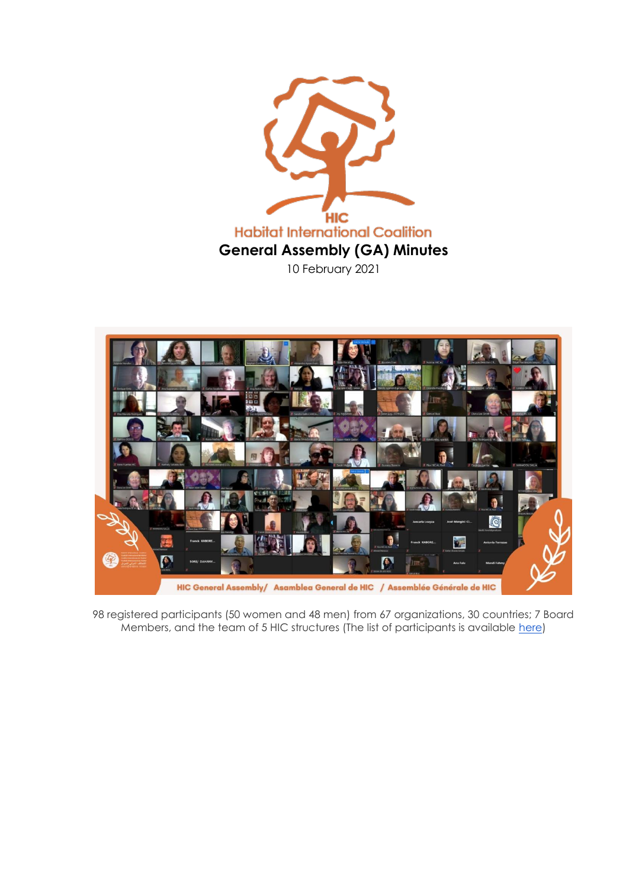



98 registered participants (50 women and 48 men) from 67 organizations, 30 countries; 7 Board Members, and the team of 5 HIC structures (The list of participants is available [here\)](https://docs.google.com/spreadsheets/d/1YSGLfJEhSAcI8OI2rEl-hKmAYXPU2EKIZWGxrcB5nks/edit?usp=sharing)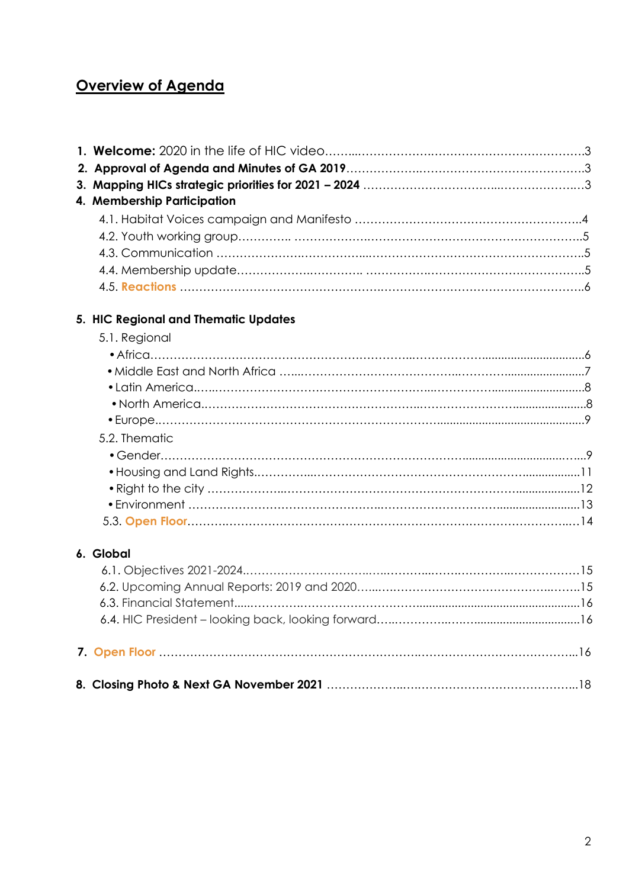# **Overview of Agenda**

| 4. Membership Participation          |  |
|--------------------------------------|--|
|                                      |  |
|                                      |  |
|                                      |  |
|                                      |  |
|                                      |  |
| 5. HIC Regional and Thematic Updates |  |
| 5.1. Regional                        |  |
|                                      |  |
|                                      |  |
|                                      |  |
|                                      |  |
|                                      |  |
| 5.2. Thematic                        |  |
|                                      |  |
|                                      |  |
|                                      |  |
|                                      |  |
|                                      |  |
| 6. Global                            |  |
|                                      |  |
|                                      |  |
|                                      |  |
|                                      |  |
|                                      |  |
|                                      |  |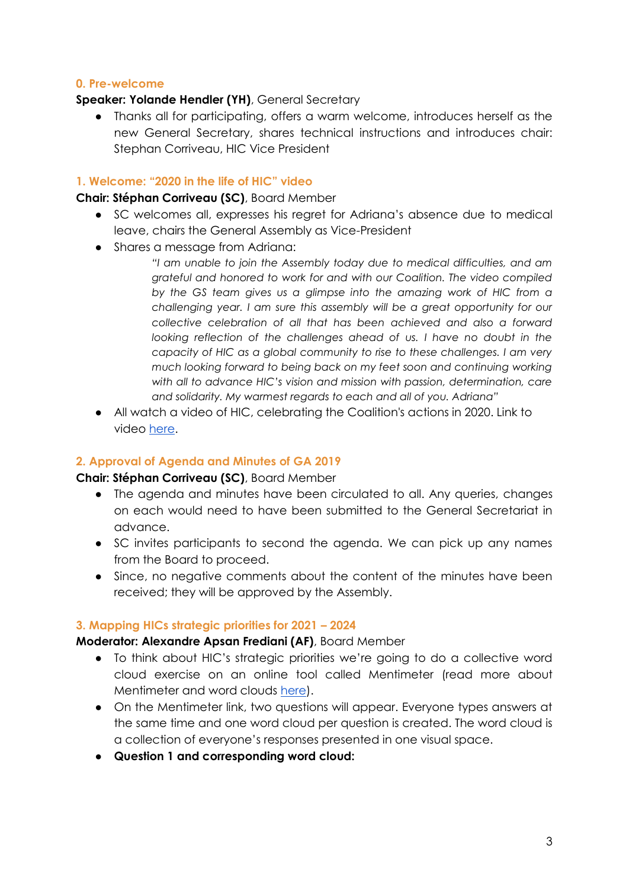## **0. Pre-welcome**

#### **Speaker: Yolande Hendler (YH)**, General Secretary

● Thanks all for participating, offers a warm welcome, introduces herself as the new General Secretary, shares technical instructions and introduces chair: Stephan Corriveau, HIC Vice President

#### **1. Welcome: "2020 in the life of HIC" video**

#### **Chair: Stéphan Corriveau (SC)**, Board Member

- SC welcomes all, expresses his regret for Adriana's absence due to medical leave, chairs the General Assembly as Vice-President
- Shares a message from Adriana:
	- *"I am unable to join the Assembly today due to medical difficulties, and am grateful and honored to work for and with our Coalition. The video compiled by the GS team gives us a glimpse into the amazing work of HIC from a challenging year. I am sure this assembly will be a great opportunity for our collective celebration of all that has been achieved and also a forward looking reflection of the challenges ahead of us. I have no doubt in the capacity of HIC as a global community to rise to these challenges. I am very much looking forward to being back on my feet soon and continuing working with all to advance HIC's vision and mission with passion, determination, care and solidarity. My warmest regards to each and all of you. Adriana"*
- All watch a video of HIC, celebrating the Coalition's actions in 2020. Link to video [here.](https://www.youtube.com/watch?v=zRnlD1E5bvE)

## **2. Approval of Agenda and Minutes of GA 2019**

## **Chair: Stéphan Corriveau (SC)**, Board Member

- The agenda and minutes have been circulated to all. Any queries, changes on each would need to have been submitted to the General Secretariat in advance.
- SC invites participants to second the agenda. We can pick up any names from the Board to proceed.
- Since, no negative comments about the content of the minutes have been received; they will be approved by the Assembly.

## **3. Mapping HICs strategic priorities for 2021 – 2024**

#### **Moderator: Alexandre Apsan Frediani (AF)**, Board Member

- To think about HIC's strategic priorities we're going to do a collective word cloud exercise on an online tool called Mentimeter (read more about Mentimeter and word clouds [here\)](https://www.mentimeter.com/features/word-cloud).
- On the Mentimeter link, two questions will appear. Everyone types answers at the same time and one word cloud per question is created. The word cloud is a collection of everyone's responses presented in one visual space.
- **Question 1 and corresponding word cloud:**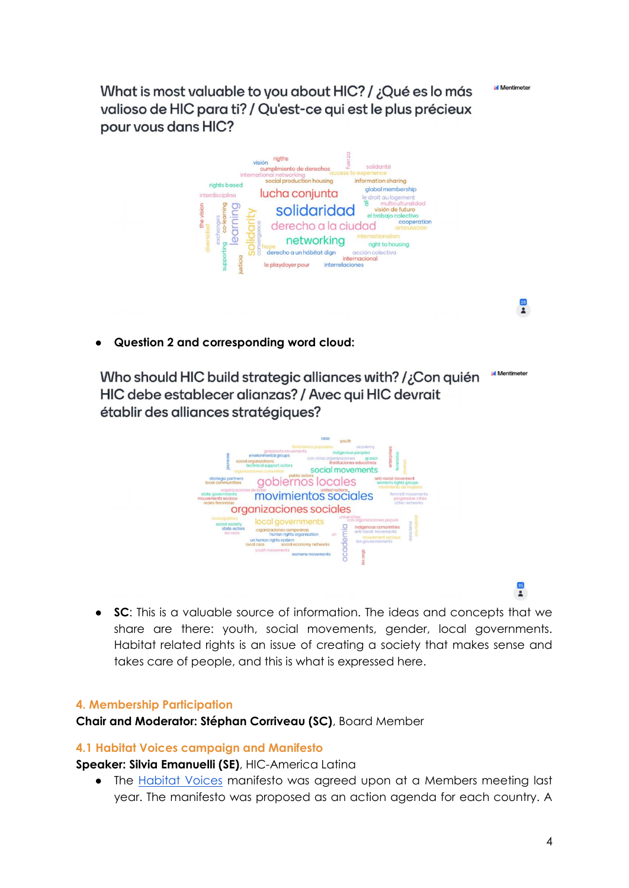**Mentimeter** 

 $\frac{28}{2}$ 

 $\frac{35}{2}$ 

Vyhat is most valuable to you about HIC? / ¿Qué es lo más valioso de HIC para ti? / Qu'est-ce qui est le plus précieux pour vous dans HIC?



● **Question 2 and corresponding word cloud:** 

**Id** Mentimete Who should HIC build strategic alliances with? /;Con quién HIC debe establecer alianzas? / Avec qui HIC devrait établir des alliances stratégiques?



● **SC**: This is a valuable source of information. The ideas and concepts that we share are there: youth, social movements, gender, local governments. Habitat related rights is an issue of creating a society that makes sense and takes care of people, and this is what is expressed here.

#### **4. Membership Participation**

**Chair and Moderator: Stéphan Corriveau (SC)**, Board Member

#### **4.1 Habitat Voices campaign and Manifesto**

**Speaker: Silvia Emanuelli (SE)**, HIC-America Latina

• The [Habitat Voices](https://www.hic-net.org/habitat-voices-campaign/#The-MANIFESTO) manifesto was agreed upon at a Members meeting last year. The manifesto was proposed as an action agenda for each country. A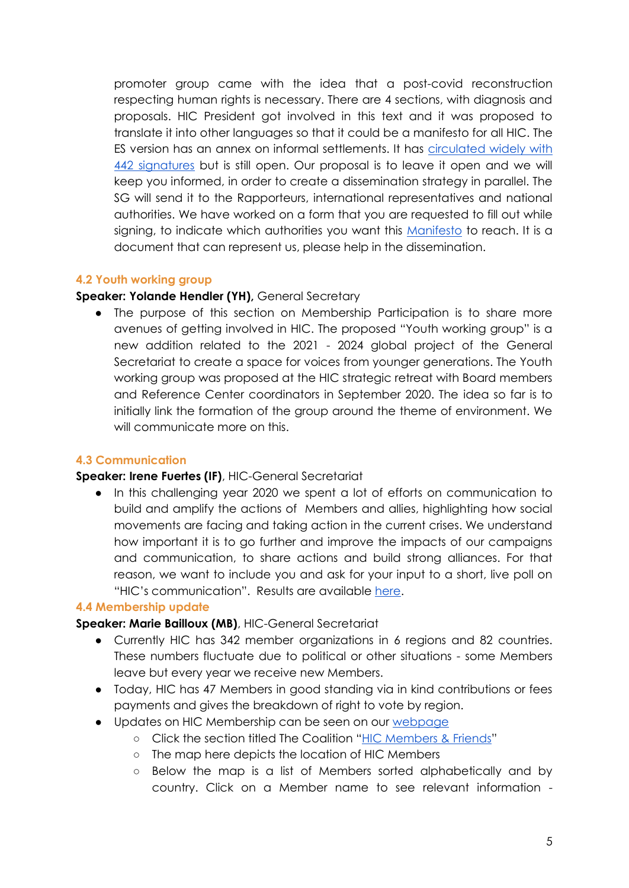promoter group came with the idea that a post-covid reconstruction respecting human rights is necessary. There are 4 sections, with diagnosis and proposals. HIC President got involved in this text and it was proposed to translate it into other languages so that it could be a manifesto for all HIC. The ES version has an annex on informal settlements. It has [circulated widely with](http://bit.ly/habitatvoices)  [442 signatures](http://bit.ly/habitatvoices) but is still open. Our proposal is to leave it open and we will keep you informed, in order to create a dissemination strategy in parallel. The SG will send it to the Rapporteurs, international representatives and national authorities. We have worked on a form that you are requested to fill out while signing, to indicate which authorities you want this [Manifesto](https://www.hic-net.org/habitat-voices-our-manifesto/) to reach. It is a document that can represent us, please help in the dissemination.

#### **4.2 Youth working group**

#### **Speaker: Yolande Hendler (YH),** General Secretary

• The purpose of this section on Membership Participation is to share more avenues of getting involved in HIC. The proposed "Youth working group" is a new addition related to the 2021 - 2024 global project of the General Secretariat to create a space for voices from younger generations. The Youth working group was proposed at the HIC strategic retreat with Board members and Reference Center coordinators in September 2020. The idea so far is to initially link the formation of the group around the theme of environment. We will communicate more on this.

## **4.3 Communication**

#### **Speaker: Irene Fuertes (IF)**, HIC-General Secretariat

● In this challenging year 2020 we spent a lot of efforts on communication to build and amplify the actions of Members and allies, highlighting how social movements are facing and taking action in the current crises. We understand how important it is to go further and improve the impacts of our campaigns and communication, to share actions and build strong alliances. For that reason, we want to include you and ask for your input to a short, live poll on "HIC's communication". Results are available [here.](https://drive.google.com/file/d/1rTQneo-kMkX4p9u8NhAcXMO6F_Xx8zm8/view?usp=sharing)

## **4.4 Membership update**

## **Speaker: Marie Bailloux (MB)**, HIC-General Secretariat

- Currently HIC has 342 member organizations in 6 regions and 82 countries. These numbers fluctuate due to political or other situations - some Members leave but every year we receive new Members.
- Today, HIC has 47 Members in good standing via in kind contributions or fees payments and gives the breakdown of right to vote by region.
- Updates on HIC Membership can be seen on our [webpage](http://www.hic-net.org/)
	- Click the section titled The Coalition "[HIC Members & Friends](https://www.hic-net.org/coalition/members/)"
	- The map here depicts the location of HIC Members
	- Below the map is a list of Members sorted alphabetically and by country. Click on a Member name to see relevant information -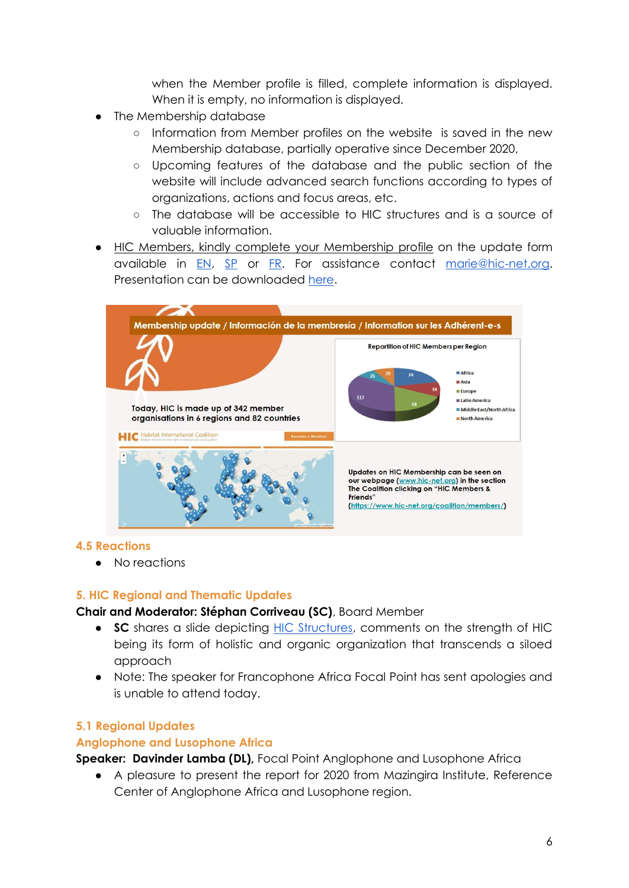when the Member profile is filled, complete information is displayed. When it is empty, no information is displayed.

- The Membership database
	- Information from Member profiles on the website is saved in the new Membership database, partially operative since December 2020,
	- Upcoming features of the database and the public section of the website will include advanced search functions according to types of organizations, actions and focus areas, etc.
	- The database will be accessible to HIC structures and is a source of valuable information.
- HIC Members, kindly complete your Membership profile on the update form available in [EN,](https://drive.google.com/file/d/1ZyQk96YNc85arGcxE9DuGWN9ZkW859Wj/view) [SP](https://drive.google.com/file/d/1yQo5wChJJ22XMmeRY5tzeXOPV-AJdnJ9/view) or [FR.](https://drive.google.com/file/d/17rJ9F4T_MKVqD__VOaA0NEy0mtjqzdRC/view) For assistance contact [marie@hic-net.org.](mailto:marie@hic-net.org) Presentation can be downloaded [here.](https://drive.google.com/file/d/1tiD1VLqldPjv7PdCuzrsWoJfjBD3tzO7/view?usp=sharing)



## **4.5 Reactions**

● No reactions

## **5. HIC Regional and Thematic Updates**

## **Chair and Moderator: Stéphan Corriveau (SC)**, Board Member

- **SC** shares a slide depicting [HIC Structures,](https://www.hic-net.org/coalition/mission-and-strategy/) comments on the strength of HIC being its form of holistic and organic organization that transcends a siloed approach
- Note: The speaker for Francophone Africa Focal Point has sent apologies and is unable to attend today.

## **5.1 Regional Updates**

## **Anglophone and Lusophone Africa**

**Speaker: Davinder Lamba (DL),** Focal Point Anglophone and Lusophone Africa

● A pleasure to present the report for 2020 from Mazingira Institute, Reference Center of Anglophone Africa and Lusophone region.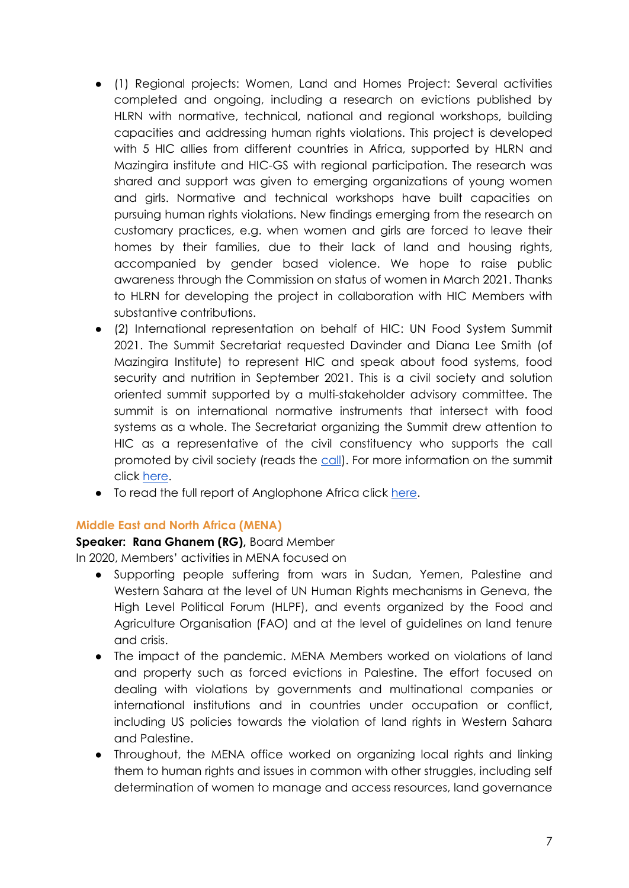- (1) Regional projects: Women, Land and Homes Project: Several activities completed and ongoing, including a research on evictions published by HLRN with normative, technical, national and regional workshops, building capacities and addressing human rights violations. This project is developed with 5 HIC allies from different countries in Africa, supported by HLRN and Mazingira institute and HIC-GS with regional participation. The research was shared and support was given to emerging organizations of young women and girls. Normative and technical workshops have built capacities on pursuing human rights violations. New findings emerging from the research on customary practices, e.g. when women and girls are forced to leave their homes by their families, due to their lack of land and housing rights, accompanied by gender based violence. We hope to raise public awareness through the Commission on status of women in March 2021. Thanks to HLRN for developing the project in collaboration with HIC Members with substantive contributions.
- (2) International representation on behalf of HIC: UN Food System Summit 2021. The Summit Secretariat requested Davinder and Diana Lee Smith (of Mazingira Institute) to represent HIC and speak about food systems, food security and nutrition in September 2021. This is a civil society and solution oriented summit supported by a multi-stakeholder advisory committee. The summit is on international normative instruments that intersect with food systems as a whole. The Secretariat organizing the Summit drew attention to HIC as a representative of the civil constituency who supports the call promoted by civil society (reads the [call\)](https://www.foodsovereignty.org/wp-content/uploads/2020/03/EN_Edited_draft-letter-UN-food-systems-summit_070220.pdf). For more information on the summit click [here.](https://www.un.org/en/food-systems-summit/about)
- To read the full report of Anglophone Africa click [here.](https://drive.google.com/file/d/1VkAzKQT0bgn93nfCfwMkA_0UEvD7Pp-n/view?usp=sharing)

## **Middle East and North Africa (MENA)**

## **Speaker: Rana Ghanem (RG),** Board Member

In 2020, Members' activities in MENA focused on

- Supporting people suffering from wars in Sudan, Yemen, Palestine and Western Sahara at the level of UN Human Rights mechanisms in Geneva, the High Level Political Forum (HLPF), and events organized by the Food and Agriculture Organisation (FAO) and at the level of guidelines on land tenure and crisis.
- The impact of the pandemic. MENA Members worked on violations of land and property such as forced evictions in Palestine. The effort focused on dealing with violations by governments and multinational companies or international institutions and in countries under occupation or conflict, including US policies towards the violation of land rights in Western Sahara and Palestine.
- Throughout, the MENA office worked on organizing local rights and linking them to human rights and issues in common with other struggles, including self determination of women to manage and access resources, land governance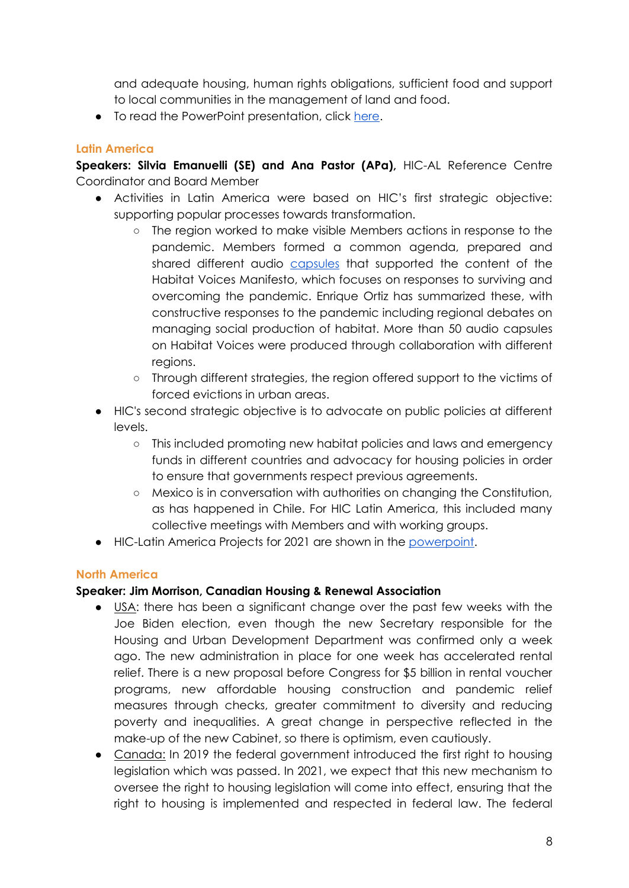and adequate housing, human rights obligations, sufficient food and support to local communities in the management of land and food.

● To read the PowerPoint presentation, click [here.](https://drive.google.com/file/d/1VBvb6vpkFLjw5iULC74KvTvUbUjTrHGt/view)

# **Latin America**

**Speakers: Silvia Emanuelli (SE) and Ana Pastor (APa),** HIC-AL Reference Centre Coordinator and Board Member

- Activities in Latin America were based on HIC's first strategic objective: supporting popular processes towards transformation.
	- The region worked to make visible Members actions in response to the pandemic. Members formed a common agenda, prepared and shared different audio [capsules](https://hic-al.org/2020/06/04/voces-del-habitat-frente-a-la-pandemia-el-futuro-es-hoy/) that supported the content of the Habitat Voices Manifesto, which focuses on responses to surviving and overcoming the pandemic. Enrique Ortiz has summarized these, with constructive responses to the pandemic including regional debates on managing social production of habitat. More than 50 audio capsules on Habitat Voices were produced through collaboration with different regions.
	- Through different strategies, the region offered support to the victims of forced evictions in urban areas.
- HIC's second strategic objective is to advocate on public policies at different levels.
	- This included promoting new habitat policies and laws and emergency funds in different countries and advocacy for housing policies in order to ensure that governments respect previous agreements.
	- Mexico is in conversation with authorities on changing the Constitution, as has happened in Chile. For HIC Latin America, this included many collective meetings with Members and with working groups.
- HIC-Latin America Projects for 2021 are shown in the [powerpoint.](https://drive.google.com/file/d/1L7cp4L7H9bL1yK7LyuIGTXuCA_whVF3_/view?usp=sharing)

# **North America**

## **Speaker: Jim Morrison, Canadian Housing & Renewal Association**

- USA: there has been a significant change over the past few weeks with the Joe Biden election, even though the new Secretary responsible for the Housing and Urban Development Department was confirmed only a week ago. The new administration in place for one week has accelerated rental relief. There is a new proposal before Congress for \$5 billion in rental voucher programs, new affordable housing construction and pandemic relief measures through checks, greater commitment to diversity and reducing poverty and inequalities. A great change in perspective reflected in the make-up of the new Cabinet, so there is optimism, even cautiously.
- Canada: In 2019 the federal government introduced the first right to housing legislation which was passed. In 2021, we expect that this new mechanism to oversee the right to housing legislation will come into effect, ensuring that the right to housing is implemented and respected in federal law. The federal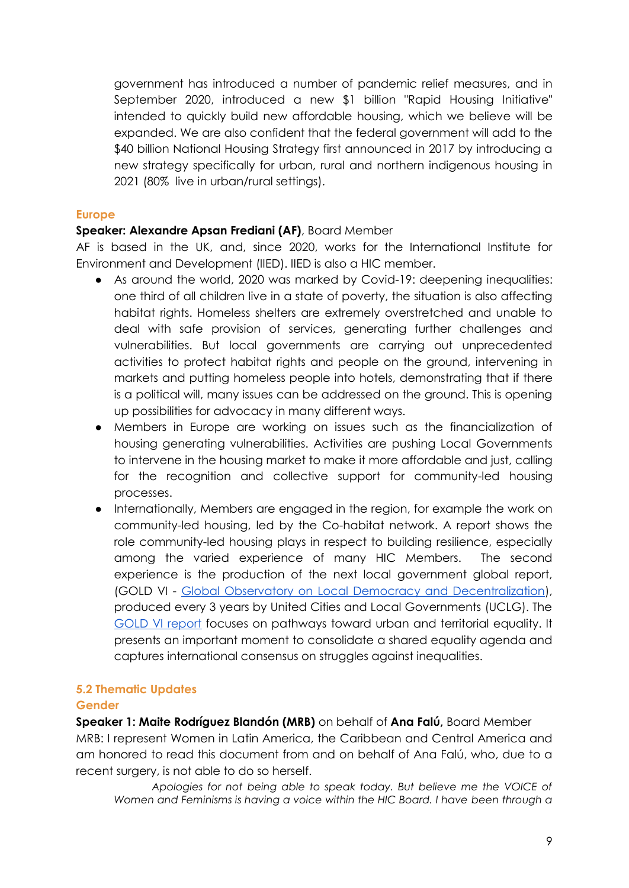government has introduced a number of pandemic relief measures, and in September 2020, introduced a new \$1 billion "Rapid Housing Initiative" intended to quickly build new affordable housing, which we believe will be expanded. We are also confident that the federal government will add to the \$40 billion National Housing Strategy first announced in 2017 by introducing a new strategy specifically for urban, rural and northern indigenous housing in 2021 (80% live in urban/rural settings).

## **Europe**

## **Speaker: Alexandre Apsan Frediani (AF)**, Board Member

AF is based in the UK, and, since 2020, works for the International Institute for Environment and Development (IIED). IIED is also a HIC member.

- As around the world, 2020 was marked by Covid-19: deepening inequalities: one third of all children live in a state of poverty, the situation is also affecting habitat rights. Homeless shelters are extremely overstretched and unable to deal with safe provision of services, generating further challenges and vulnerabilities. But local governments are carrying out unprecedented activities to protect habitat rights and people on the ground, intervening in markets and putting homeless people into hotels, demonstrating that if there is a political will, many issues can be addressed on the ground. This is opening up possibilities for advocacy in many different ways.
- Members in Europe are working on issues such as the financialization of housing generating vulnerabilities. Activities are pushing Local Governments to intervene in the housing market to make it more affordable and just, calling for the recognition and collective support for community-led housing processes.
- Internationally, Members are engaged in the region, for example the work on community-led housing, led by the Co-habitat network. A report shows the role community-led housing plays in respect to building resilience, especially among the varied experience of many HIC Members. The second experience is the production of the next local government global report, (GOLD VI - [Global Observatory on Local Democracy and Decentralization\)](https://www.gold.uclg.org/), produced every 3 years by United Cities and Local Governments (UCLG). Th[e](https://www.gold.uclg.org/reports/gold-vi) [GOLD VI report](https://www.gold.uclg.org/reports/gold-vi) focuses on pathways toward urban and territorial equality. It presents an important moment to consolidate a shared equality agenda and captures international consensus on struggles against inequalities.

## **5.2 Thematic Updates**

#### **Gender**

**Speaker 1: Maite Rodríguez Blandón (MRB)** on behalf of **Ana Falú,** Board Member MRB: I represent Women in Latin America, the Caribbean and Central America and am honored to read this document from and on behalf of Ana Falú, who, due to a recent surgery, is not able to do so herself.

*Apologies for not being able to speak today. But believe me the VOICE of Women and Feminisms is having a voice within the HIC Board. I have been through a*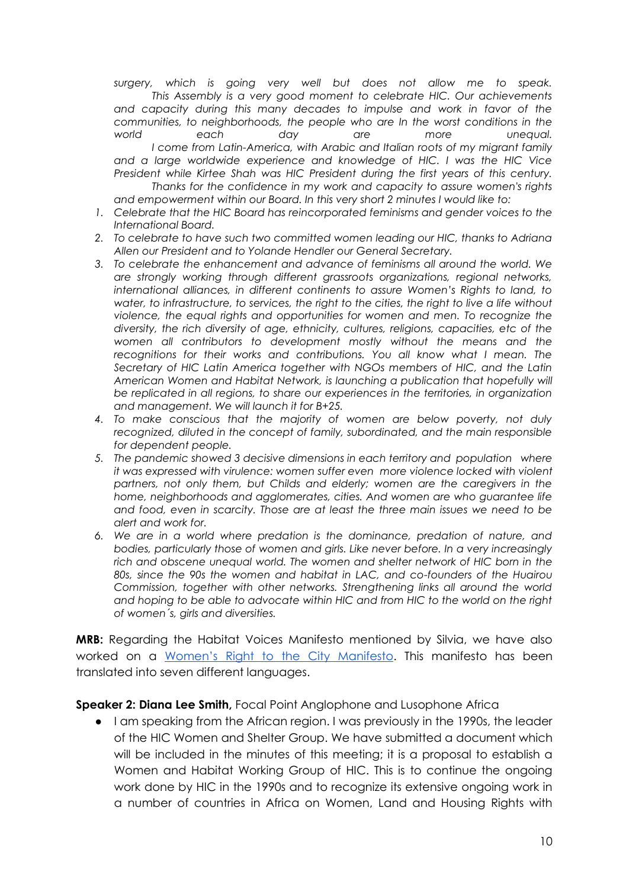*surgery, which is going very well but does not allow me to speak. This Assembly is a very good moment to celebrate HIC. Our achievements and capacity during this many decades to impulse and work in favor of the communities, to neighborhoods, the people who are In the worst conditions in the world each day are more unequal. I come from Latin-America, with Arabic and Italian roots of my migrant family and a large worldwide experience and knowledge of HIC. I was the HIC Vice President while Kirtee Shah was HIC President during the first years of this century. Thanks for the confidence in my work and capacity to assure women's rights and empowerment within our Board. In this very short 2 minutes I would like to:*

- *1. Celebrate that the HIC Board has reincorporated feminisms and gender voices to the International Board.*
- *2. To celebrate to have such two committed women leading our HIC, thanks to Adriana Allen our President and to Yolande Hendler our General Secretary.*
- *3. To celebrate the enhancement and advance of feminisms all around the world. We are strongly working through different grassroots organizations, regional networks, international alliances, in different continents to assure Women's Rights to land, to water, to infrastructure, to services, the right to the cities, the right to live a life without violence, the equal rights and opportunities for women and men. To recognize the diversity, the rich diversity of age, ethnicity, cultures, religions, capacities, etc of the women all contributors to development mostly without the means and the*  recognitions for their works and contributions. You all know what I mean. The *Secretary of HIC Latin America together with NGOs members of HIC, and the Latin American Women and Habitat Network, is launching a publication that hopefully will be replicated in all regions, to share our experiences in the territories, in organization and management. We will launch it for B+25.*
- *4. To make conscious that the majority of women are below poverty, not duly recognized, diluted in the concept of family, subordinated, and the main responsible for dependent people.*
- *5. The pandemic showed 3 decisive dimensions in each territory and population where it was expressed with virulence: women suffer even more violence locked with violent*  partners, not only them, but Childs and elderly; women are the caregivers in the *home, neighborhoods and agglomerates, cities. And women are who guarantee life and food, even in scarcity. Those are at least the three main issues we need to be alert and work for.*
- *6. We are in a world where predation is the dominance, predation of nature, and bodies, particularly those of women and girls. Like never before. In a very increasingly*  rich and obscene unequal world. The women and shelter network of HIC born in the *80s, since the 90s the women and habitat in LAC, and co-founders of the Huairou Commission, together with other networks. Strengthening links all around the world and hoping to be able to advocate within HIC and from HIC to the world on the right of women´s, girls and diversities.*

**MRB:** Regarding the Habitat Voices Manifesto mentioned by Silvia, we have also worked on a [Women's Right to the City Manifesto](https://www.right2city.org/news/womens-right-to-the-city-manifesto/). This manifesto has been translated into seven different languages.

**Speaker 2: Diana Lee Smith,** Focal Point Anglophone and Lusophone Africa

I am speaking from the African region. I was previously in the 1990s, the leader of the HIC Women and Shelter Group. We have submitted a document which will be included in the minutes of this meeting; it is a proposal to establish a Women and Habitat Working Group of HIC. This is to continue the ongoing work done by HIC in the 1990s and to recognize its extensive ongoing work in a number of countries in Africa on Women, Land and Housing Rights with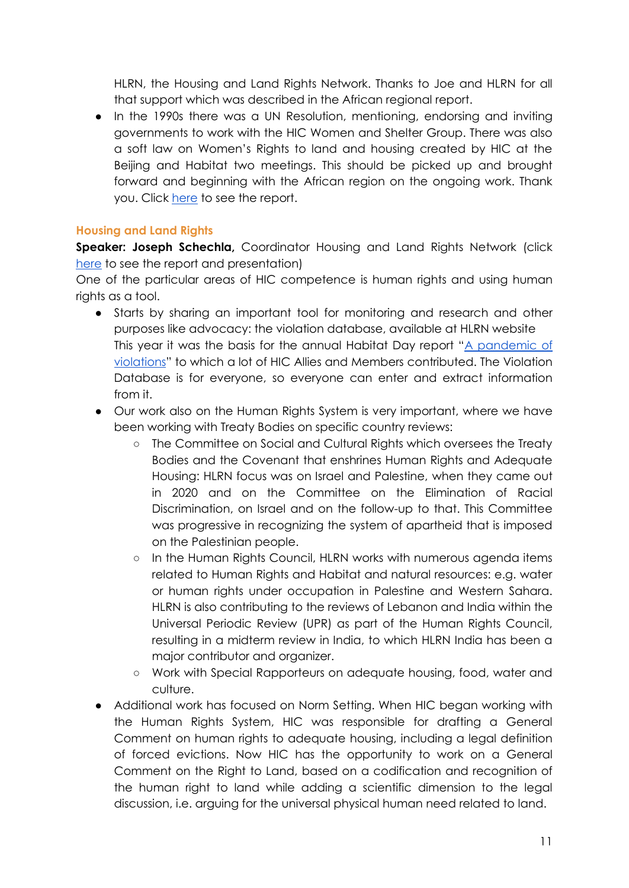HLRN, the Housing and Land Rights Network. Thanks to Joe and HLRN for all that support which was described in the African regional report.

In the 1990s there was a UN Resolution, mentioning, endorsing and inviting governments to work with the HIC Women and Shelter Group. There was also a soft law on Women's Rights to land and housing created by HIC at the Beijing and Habitat two meetings. This should be picked up and brought forward and beginning with the African region on the ongoing work. Thank you. Click [here](https://drive.google.com/drive/folders/1u2ZwPKZaboPPGFYMDPkUXhQ74TBgTvG1?usp=sharing) to see the report[.](https://drive.google.com/drive/folders/1u2ZwPKZaboPPGFYMDPkUXhQ74TBgTvG1?usp=sharing)

# **Housing and Land Rights**

**Speaker: Joseph Schechla,** Coordinator Housing and Land Rights Network (click [here](https://drive.google.com/drive/folders/1xj7iv0F211LC6p_39s0PNE-iTYAL-6bt?usp=sharing) to see the report and presentation)

One of the particular areas of HIC competence is human rights and using human rights as a tool.

- Starts by sharing an important tool for monitoring and research and other purposes like advocacy: the violation database, available at HLRN website This year it was the basis for the annual Habitat Day report "[A pandemic of](https://www.hic-net.org/document/a-pandemic-of-violations-hic-hlrn-annual-report-from-the-hlrn-violation-database/)  [violations](https://www.hic-net.org/document/a-pandemic-of-violations-hic-hlrn-annual-report-from-the-hlrn-violation-database/)" to which a lot of HIC Allies and Members contributed. The Violation Database is for everyone, so everyone can enter and extract information from it.
- Our work also on the Human Rights System is very important, where we have been working with Treaty Bodies on specific country reviews:
	- The Committee on Social and Cultural Rights which oversees the Treaty Bodies and the Covenant that enshrines Human Rights and Adequate Housing: HLRN focus was on Israel and Palestine, when they came out in 2020 and on the Committee on the Elimination of Racial Discrimination, on Israel and on the follow-up to that. This Committee was progressive in recognizing the system of apartheid that is imposed on the Palestinian people.
	- In the Human Rights Council, HLRN works with numerous agenda items related to Human Rights and Habitat and natural resources: e.g. water or human rights under occupation in Palestine and Western Sahara. HLRN is also contributing to the reviews of Lebanon and India within the Universal Periodic Review (UPR) as part of the Human Rights Council, resulting in a midterm review in India, to which HLRN India has been a major contributor and organizer.
	- Work with Special Rapporteurs on adequate housing, food, water and culture.
- Additional work has focused on Norm Setting. When HIC began working with the Human Rights System, HIC was responsible for drafting a General Comment on human rights to adequate housing, including a legal definition of forced evictions. Now HIC has the opportunity to work on a General Comment on the Right to Land, based on a codification and recognition of the human right to land while adding a scientific dimension to the legal discussion, i.e. arguing for the universal physical human need related to land.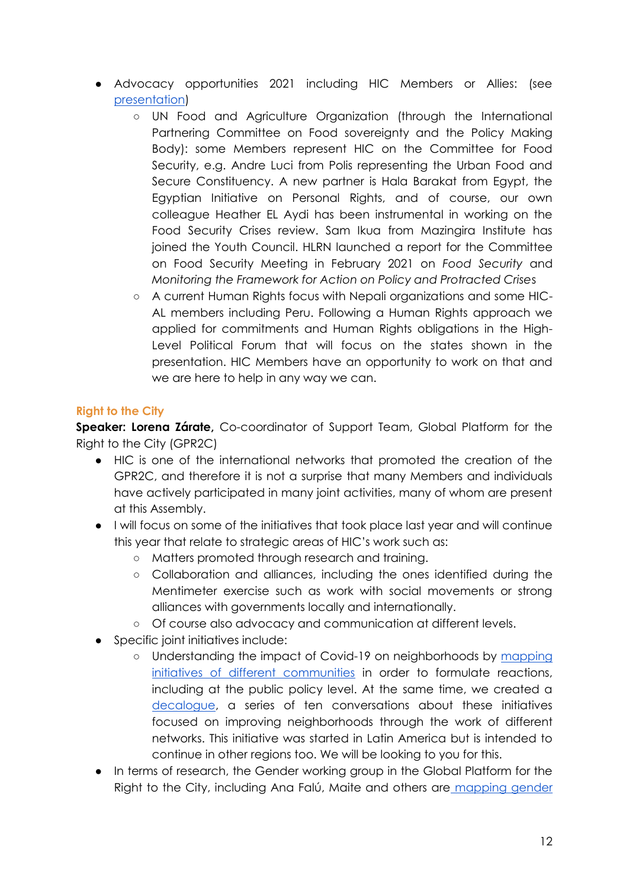- Advocacy opportunities 2021 including HIC Members or Allies: (see [presentation\)](https://drive.google.com/file/d/1S0UI094nPVQlGA5yNoZYH2QowjYUlZRB/view?usp=sharing)
	- UN Food and Agriculture Organization (through the International Partnering Committee on Food sovereignty and the Policy Making Body): some Members represent HIC on the Committee for Food Security, e.g. Andre Luci from Polis representing the Urban Food and Secure Constituency. A new partner is Hala Barakat from Egypt, the Egyptian Initiative on Personal Rights, and of course, our own colleague Heather EL Aydi has been instrumental in working on the Food Security Crises review. Sam Ikua from Mazingira Institute has joined the Youth Council. HLRN launched a report for the Committee on Food Security Meeting in February 2021 on *Food Security* and *Monitoring the Framework for Action on Policy and Protracted Crise*s
	- A current Human Rights focus with Nepali organizations and some HIC-AL members including Peru. Following a Human Rights approach we applied for commitments and Human Rights obligations in the High-Level Political Forum that will focus on the states shown in the presentation. HIC Members have an opportunity to work on that and we are here to help in any way we can.

# **Right to the City**

**Speaker: Lorena Zárate,** Co-coordinator of Support Team, Global Platform for the Right to the City (GPR2C)

- HIC is one of the international networks that promoted the creation of the GPR2C, and therefore it is not a surprise that many Members and individuals have actively participated in many joint activities, many of whom are present at this Assembly.
- I will focus on some of the initiatives that took place last year and will continue this year that relate to strategic areas of HIC's work such as:
	- Matters promoted through research and training.
	- Collaboration and alliances, including the ones identified during the Mentimeter exercise such as work with social movements or strong alliances with governments locally and internationally.
	- Of course also advocacy and communication at different levels.
- Specific joint initiatives include:
	- o Understanding the impact of Covid-19 on neighborhoods by mapping initiatives of different communities in order to formulate reactions, including at the public policy level. At the same time, we created a [decalogue,](https://twitter.com/habitat_intl/status/1329080183559622659) a series of ten conversations about these initiatives focused on improving neighborhoods through the work of different networks. This initiative was started in Latin America but is intended to continue in other regions too. We will be looking to you for this.
- In terms of research, the Gender working group in the Global Platform for the Right to the City, including Ana Falú, Maite and others are mapping gender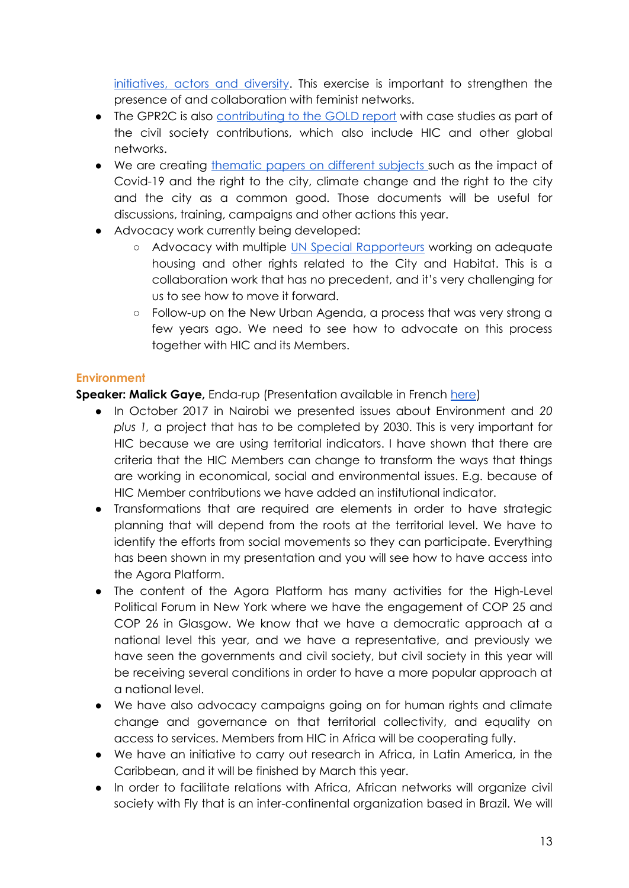initiatives, actors and diversity. This exercise is important to strengthen the presence of and collaboration with feminist networks.

- The GPR2C is also [contributing to the GOLD report](https://www.hic-net.org/event/ioin-us-to-discuss-the-impactful-gold-vi-report-and-how-you-can-participate/) with case studies as part of the civil society contributions, which also include HIC and other global networks.
- We are creating [thematic papers on different subjects s](https://www.right2city.org/news/gpr2c-thematic-papers/)uch as the impact of Covid-19 and the right to the city, climate change and the right to the city and the city as a common good. Those documents will be useful for discussions, training, campaigns and other actions this year.
- Advocacy work currently being developed:
	- Advocacy with multiple [UN Special Rapporteurs](https://www.hic-net.org/event/roundtable-between-united-nations-special-rapporteurs-civil-society-organizations-and-local-governments/) working on adequate housing and other rights related to the City and Habitat. This is a collaboration work that has no precedent, and it's very challenging for us to see how to move it forward.
	- Follow-up on the New Urban Agenda, a process that was very strong a few years ago. We need to see how to advocate on this process together with HIC and its Members.

# **Environment**

**Speaker: Malick Gaye,** Enda-rup (Presentation available in French [here\)](https://drive.google.com/file/d/1xkRiufcOgdaMvTjKHO2SS4pwHeiIt3Vo/view?usp=sharing)

- In October 2017 in Nairobi we presented issues about Environment and *20 plus 1,* a project that has to be completed by 2030. This is very important for HIC because we are using territorial indicators. I have shown that there are criteria that the HIC Members can change to transform the ways that things are working in economical, social and environmental issues. E.g. because of HIC Member contributions we have added an institutional indicator.
- Transformations that are required are elements in order to have strategic planning that will depend from the roots at the territorial level. We have to identify the efforts from social movements so they can participate. Everything has been shown in my presentation and you will see how to have access into the Agora Platform.
- The content of the Agora Platform has many activities for the High-Level Political Forum in New York where we have the engagement of COP 25 and COP 26 in Glasgow. We know that we have a democratic approach at a national level this year, and we have a representative, and previously we have seen the governments and civil society, but civil society in this year will be receiving several conditions in order to have a more popular approach at a national level.
- We have also advocacy campaigns going on for human rights and climate change and governance on that territorial collectivity, and equality on access to services. Members from HIC in Africa will be cooperating fully.
- We have an initiative to carry out research in Africa, in Latin America, in the Caribbean, and it will be finished by March this year.
- In order to facilitate relations with Africa, African networks will organize civil society with Fly that is an inter-continental organization based in Brazil. We will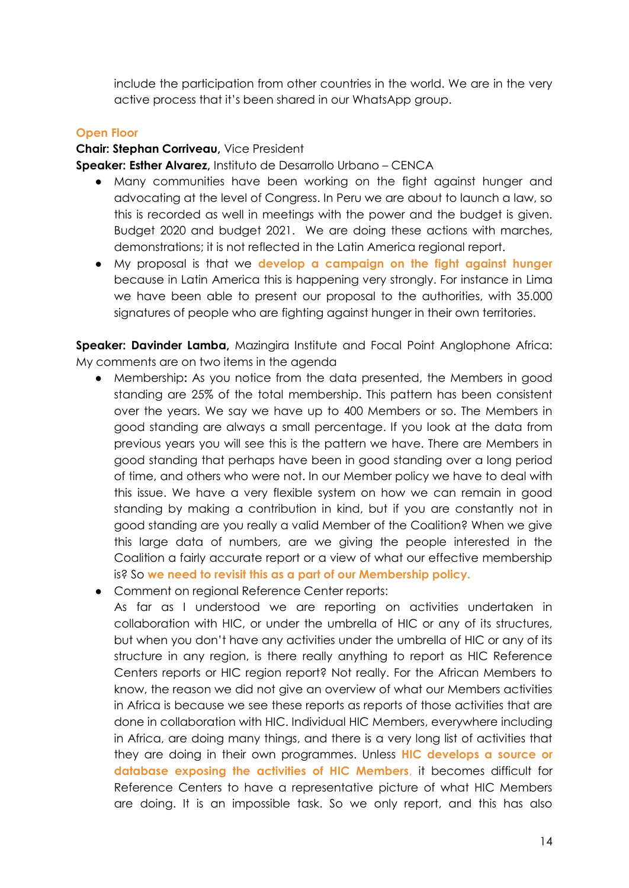include the participation from other countries in the world. We are in the very active process that it's been shared in our WhatsApp group.

#### **Open Floor**

#### **Chair: Stephan Corriveau,** Vice President

**Speaker: Esther Alvarez,** Instituto de Desarrollo Urbano – CENCA

- Many communities have been working on the fight against hunger and advocating at the level of Congress. In Peru we are about to launch a law, so this is recorded as well in meetings with the power and the budget is given. Budget 2020 and budget 2021. We are doing these actions with marches, demonstrations; it is not reflected in the Latin America regional report.
- My proposal is that we **develop a campaign on the fight against hunger**  because in Latin America this is happening very strongly. For instance in Lima we have been able to present our proposal to the authorities, with 35.000 signatures of people who are fighting against hunger in their own territories.

**Speaker: Davinder Lamba,** Mazingira Institute and Focal Point Anglophone Africa: My comments are on two items in the agenda

- Membership**:** As you notice from the data presented, the Members in good standing are 25% of the total membership. This pattern has been consistent over the years. We say we have up to 400 Members or so. The Members in good standing are always a small percentage. If you look at the data from previous years you will see this is the pattern we have. There are Members in good standing that perhaps have been in good standing over a long period of time, and others who were not. In our Member policy we have to deal with this issue. We have a very flexible system on how we can remain in good standing by making a contribution in kind, but if you are constantly not in good standing are you really a valid Member of the Coalition? When we give this large data of numbers, are we giving the people interested in the Coalition a fairly accurate report or a view of what our effective membership is? So **we need to revisit this as a part of our Membership policy.**
- Comment on regional Reference Center reports:

As far as I understood we are reporting on activities undertaken in collaboration with HIC, or under the umbrella of HIC or any of its structures, but when you don't have any activities under the umbrella of HIC or any of its structure in any region, is there really anything to report as HIC Reference Centers reports or HIC region report? Not really. For the African Members to know, the reason we did not give an overview of what our Members activities in Africa is because we see these reports as reports of those activities that are done in collaboration with HIC. Individual HIC Members, everywhere including in Africa, are doing many things, and there is a very long list of activities that they are doing in their own programmes. Unless **HIC develops a source or database exposing the activities of HIC Members**, it becomes difficult for Reference Centers to have a representative picture of what HIC Members are doing. It is an impossible task. So we only report, and this has also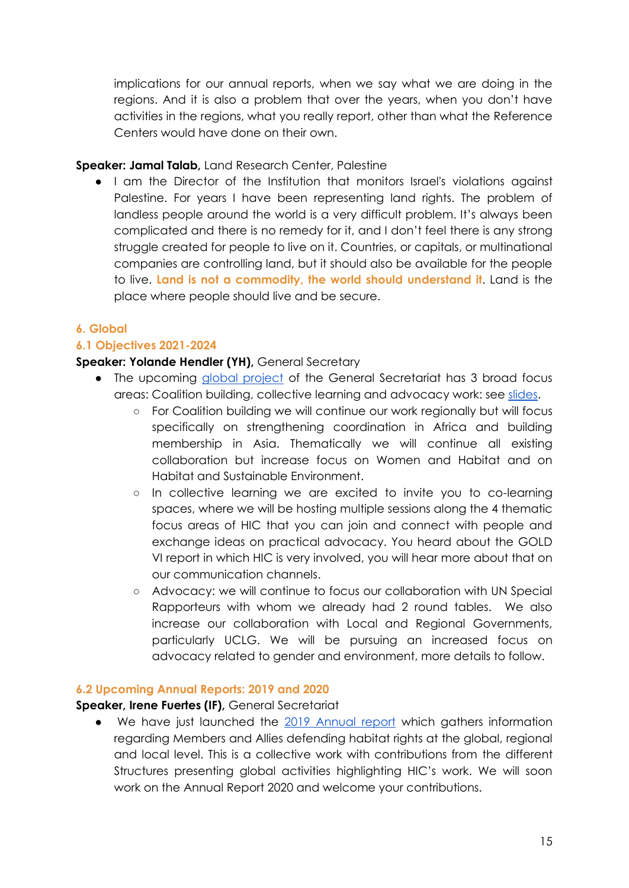implications for our annual reports, when we say what we are doing in the regions. And it is also a problem that over the years, when you don't have activities in the regions, what you really report, other than what the Reference Centers would have done on their own.

# **Speaker: Jamal Talab,** Land Research Center, Palestine

● I am the Director of the Institution that monitors Israel's violations against Palestine. For years I have been representing land rights. The problem of landless people around the world is a very difficult problem. It's always been complicated and there is no remedy for it, and I don't feel there is any strong struggle created for people to live on it. Countries, or capitals, or multinational companies are controlling land, but it should also be available for the people to live. **Land is not a commodity, the world should understand it**. Land is the place where people should live and be secure.

# **6. Global**

# **6.1 Objectives 2021-2024**

# **Speaker: Yolande Hendler (YH),** General Secretary

- The upcoming [global project](https://drive.google.com/file/d/1bk_z9kyZ5HnzrId1OEluxHkQp6EZo4EQ/view?usp=sharing) of the General Secretariat has 3 broad focus areas: Coalition building, collective learning and advocacy work: see [slides.](https://docs.google.com/presentation/d/1OG5qARKsl-yb54Xd6j-3B2MHeKLI8_DAG0q-WGp-6s0/edit?usp=sharing)
	- For Coalition building we will continue our work regionally but will focus specifically on strengthening coordination in Africa and building membership in Asia. Thematically we will continue all existing collaboration but increase focus on Women and Habitat and on Habitat and Sustainable Environment.
	- In collective learning we are excited to invite you to co-learning spaces, where we will be hosting multiple sessions along the 4 thematic focus areas of HIC that you can join and connect with people and exchange ideas on practical advocacy. You heard about the GOLD VI report in which HIC is very involved, you will hear more about that on our communication channels.
	- Advocacy: we will continue to focus our collaboration with UN Special Rapporteurs with whom we already had 2 round tables. We also increase our collaboration with Local and Regional Governments, particularly UCLG. We will be pursuing an increased focus on advocacy related to gender and environment, more details to follow.

## **6.2 Upcoming Annual Reports: 2019 and 2020**

# **Speaker, Irene Fuertes (IF),** General Secretariat

We have just launched the [2019 Annual report](http://www.hic-net.org/document/annual-report-2019/) which gathers information regarding Members and Allies defending habitat rights at the global, regional and local level. This is a collective work with contributions from the different Structures presenting global activities highlighting HIC's work. We will soon work on the Annual Report 2020 and welcome your contributions.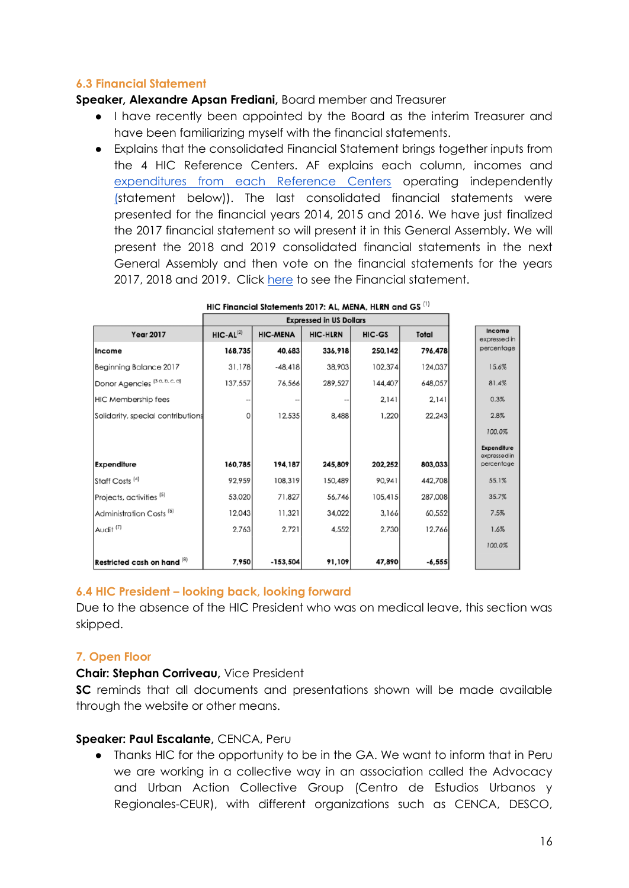# **6.3 Financial Statement**

#### **Speaker, Alexandre Apsan Frediani,** Board member and Treasurer

- I have recently been appointed by the Board as the interim Treasurer and have been familiarizing myself with the financial statements.
- Explains that the consolidated Financial Statement brings together inputs from the 4 HIC Reference Centers. AF explains each column, incomes and [expenditures from each Reference Centers](https://docs.google.com/presentation/d/1OG5qARKsl-yb54Xd6j-3B2MHeKLI8_DAG0q-WGp-6s0/edit?usp=sharing) operating independently [\(s](https://docs.google.com/presentation/d/1OG5qARKsl-yb54Xd6j-3B2MHeKLI8_DAG0q-WGp-6s0/edit?usp=sharing)tatement below)). The last consolidated financial statements were presented for the financial years 2014, 2015 and 2016. We have just finalized the 2017 financial statement so will present it in this General Assembly. We will present the 2018 and 2019 consolidated financial statements in the next General Assembly and then vote on the financial statements for the years 2017, 2018 and 2019. Click [here](https://drive.google.com/file/d/1NGyA2XiGE_aPtbEM-VW8uiCFuhoc9EtW/view?usp=sharing) to see the Financial statement.

|                                          | <b>Expressed in US Dollars</b> |                 |                 |         |              |                            |
|------------------------------------------|--------------------------------|-----------------|-----------------|---------|--------------|----------------------------|
| <b>Year 2017</b>                         | $HIC-AL^{(2)}$                 | <b>HIC-MENA</b> | <b>HIC-HLRN</b> | HIC-GS  | <b>Total</b> | Income<br>expressed in     |
| <b>Income</b>                            | 168,735                        | 40,683          | 336,918         | 250,142 | 796,478      | percentage                 |
| Beginning Balance 2017                   | 31,178                         | $-48,418$       | 38,903          | 102,374 | 124,037      | 15.6%                      |
| Donor Agencies <sup>[3 a, b, c, d]</sup> | 137,557                        | 76,566          | 289,527         | 144,407 | 648,057      | 81.4%                      |
| <b>HIC Membership fees</b>               |                                |                 |                 | 2,141   | 2,141        | 0.3%                       |
| Solidarity, special contributions        | 0                              | 12,535          | 8,488           | 1,220   | 22,243       | 2.8%                       |
|                                          |                                |                 |                 |         |              | 100.0%                     |
|                                          |                                |                 |                 |         |              | Expenditure                |
| <b>Expenditure</b>                       | 160,785                        | 194,187         | 245,809         | 202,252 | 803,033      | expressed in<br>percentage |
| Staff Costs <sup>[4]</sup>               | 92,959                         | 108,319         | 150,489         | 90,941  | 442,708      | 55.1%                      |
| Projects, activities <sup>[5]</sup>      | 53,020                         | 71,827          | 56,746          | 105,415 | 287,008      | 35.7%                      |
| Administration Costs <sup>(6)</sup>      | 12,043                         | 11,321          | 34,022          | 3,166   | 60,552       | 7.5%                       |
| Audit <sup>(7)</sup>                     | 2,763                          | 2,721           | 4,552           | 2,730   | 12,766       | 1.6%                       |
|                                          |                                |                 |                 |         |              | 100.0%                     |
| Restricted cash on hand (8)              | 7,950                          | $-153,504$      | 91,109          | 47,890  | $-6,555$     |                            |

## **6.4 HIC President – looking back, looking forward**

Due to the absence of the HIC President who was on medical leave, this section was skipped.

## **7. Open Floor**

#### **Chair: Stephan Corriveau,** Vice President

**SC** reminds that all documents and presentations shown will be made available through the website or other means.

## **Speaker: Paul Escalante,** CENCA, Peru

● Thanks HIC for the opportunity to be in the GA. We want to inform that in Peru we are working in a collective way in an association called the Advocacy and Urban Action Collective Group (Centro de Estudios Urbanos y Regionales-CEUR), with different organizations such as CENCA, DESCO,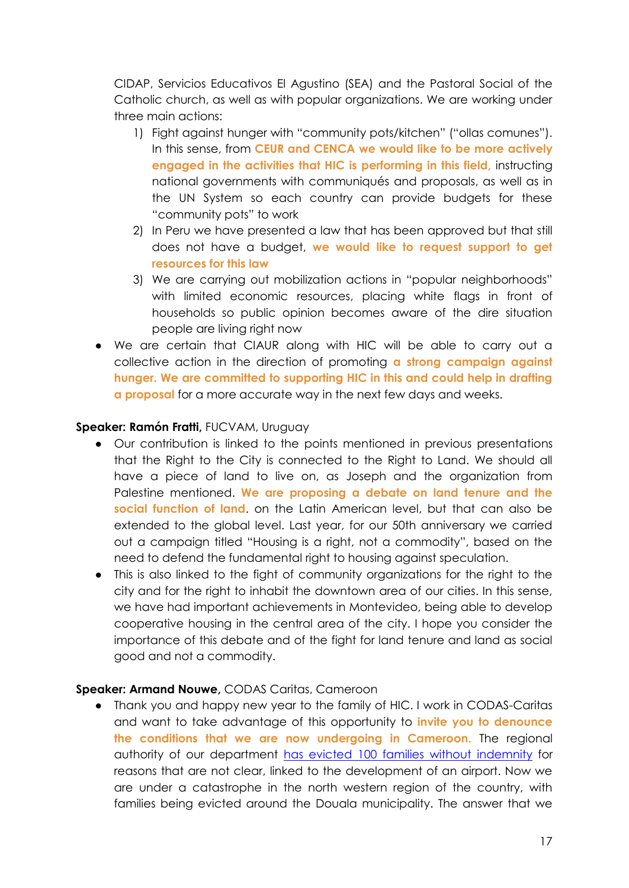CIDAP, Servicios Educativos El Agustino (SEA) and the Pastoral Social of the Catholic church, as well as with popular organizations. We are working under three main actions:

- 1) Fight against hunger with "community pots/kitchen" ("ollas comunes"). In this sense, from **CEUR and CENCA we would like to be more actively engaged in the activities that HIC is performing in this field,** instructing national governments with communiqués and proposals, as well as in the UN System so each country can provide budgets for these "community pots" to work
- 2) In Peru we have presented a law that has been approved but that still does not have a budget, **we would like to request support to get resources for this law**
- 3) We are carrying out mobilization actions in "popular neighborhoods" with limited economic resources, placing white flags in front of households so public opinion becomes aware of the dire situation people are living right now
- We are certain that CIAUR along with HIC will be able to carry out a collective action in the direction of promoting **a strong campaign against hunger. We are committed to supporting HIC in this and could help in drafting a proposal** for a more accurate way in the next few days and weeks.

# **Speaker: Ramón Fratti,** FUCVAM, Uruguay

- Our contribution is linked to the points mentioned in previous presentations that the Right to the City is connected to the Right to Land. We should all have a piece of land to live on, as Joseph and the organization from Palestine mentioned. **We are proposing a debate on land tenure and the social function of land**. on the Latin American level, but that can also be extended to the global level. Last year, for our 50th anniversary we carried out a campaign titled "Housing is a right, not a commodity", based on the need to defend the fundamental right to housing against speculation.
- This is also linked to the fight of community organizations for the right to the city and for the right to inhabit the downtown area of our cities. In this sense, we have had important achievements in Montevideo, being able to develop cooperative housing in the central area of the city. I hope you consider the importance of this debate and of the fight for land tenure and land as social good and not a commodity.

## **Speaker: Armand Nouwe,** CODAS Caritas, Cameroon

● Thank you and happy new year to the family of HIC. I work in CODAS-Caritas and want to take advantage of this opportunity to **invite you to denounce the conditions that we are now undergoing in Cameroon.** The regional authority of our department [has evicted 100 families without indemnity](https://www.hic-net.org/fr/alerte-autour-dune-situation-deviction-forcee-au-quartier-newtown-aeroport-a-douala-cameroon/) for reasons that are not clear, linked to the development of an airport. Now we are under a catastrophe in the north western region of the country, with families being evicted around the Douala municipality. The answer that we